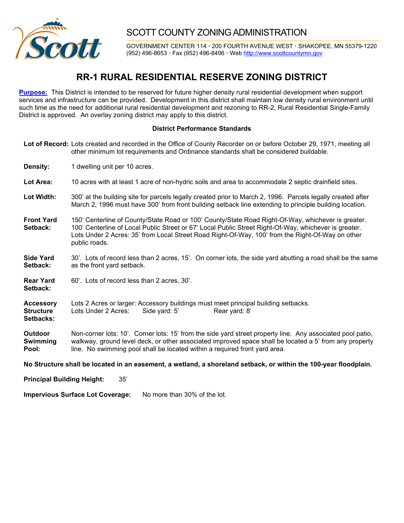

## SCOTT COUNTY ZONING ADMINISTRATION

GOVERNMENT CENTER 114 **·** 200 FOURTH AVENUE WEST **·** SHAKOPEE, MN 55379-1220 (952) 496-8653 **·** Fax (952) 496-8496 **·** Web http://www.scottcountymn.gov

## **RR-1 RURAL RESIDENTIAL RESERVE ZONING DISTRICT**

**Purpose:** This District is intended to be reserved for future higher density rural residential development when support services and infrastructure can be provided. Development in this district shall maintain low density rural environment until such time as the need for additional rural residential development and rezoning to RR-2, Rural Residential Single-Family District is approved. An overlay zoning district may apply to this district.

## **District Performance Standards**

**Lot of Record:** Lots created and recorded in the Office of County Recorder on or before October 29, 1971, meeting all other minimum lot requirements and Ordinance standards shall be considered buildable.

**Density:** 1 dwelling unit per 10 acres.

**Lot Area:** 10 acres with at least 1 acre of non-hydric soils and area to accommodate 2 septic drainfield sites.

**Lot Width:** 300' at the building site for parcels legally created prior to March 2, 1996. Parcels legally created after March 2, 1996 must have 300' from front building setback line extending to principle building location.

**Front Yard** 150' Centerline of County/State Road or 100' County/State Road Right-Of-Way, whichever is greater. **Setback:** 100' Centerline of Local Public Street or 67' Local Public Street Right-Of-Way, whichever is greater. Lots Under 2 Acres: 35' from Local Street Road Right-Of-Way, 100' from the Right-Of-Way on other public roads.

**Side Yard** 30'. Lots of record less than 2 acres, 15'. On corner lots, the side yard abutting a road shall be the same **Setback:** as the front yard setback.

**Rear Yard** 60'. Lots of record less than 2 acres, 30'. **Setback:** 

**Accessory** Lots 2 Acres or larger: Accessory buildings must meet principal building setbacks. **Structure** Lots Under 2 Acres: Side yard: 5' Rear yard: 8' **Setbacks:** 

**Outdoor** Non-corner lots: 10'. Corner lots: 15' from the side yard street property line. Any associated pool patio, **Swimming** walkway, ground level deck, or other associated improved space shall be located a 5' from any property **Pool:** line. No swimming pool shall be located within a required front yard area.

**No Structure shall be located in an easement, a wetland, a shoreland setback, or within the 100-year floodplain.** 

**Principal Building Height:** 35'

**Impervious Surface Lot Coverage:** No more than 30% of the lot.